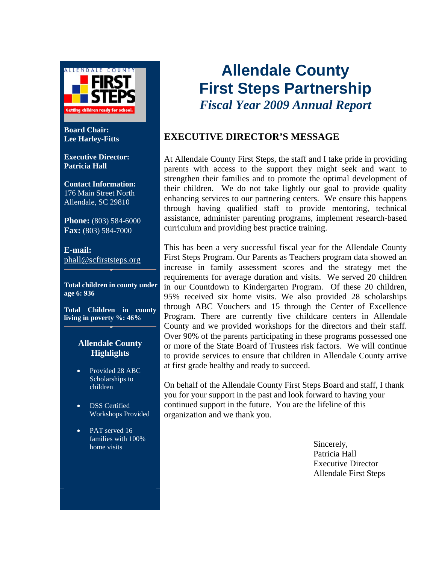

**Board Chair: Lee Harley-Fitts** 

**Executive Director: Patricia Hall** 

**Contact Information:**  176 Main Street North Allendale, SC 29810

**Phone:** (803) 584-6000 **Fax:** (803) 584-7000

**E-mail:**  phall@scfirststeps.org

**Total children in county under age 6: 936**

**Total Children in county living in poverty %: 46%** 

#### **Allendale County Highlights**

- Provided 28 ABC Scholarships to children
- DSS Certified Workshops Provided
- PAT served 16 families with 100% home visits

# **Allendale County First Steps Partnership**  *Fiscal Year 2009 Annual Report*

#### **EXECUTIVE DIRECTOR'S MESSAGE**

At Allendale County First Steps, the staff and I take pride in providing parents with access to the support they might seek and want to strengthen their families and to promote the optimal development of their children. We do not take lightly our goal to provide quality enhancing services to our partnering centers. We ensure this happens through having qualified staff to provide mentoring, technical assistance, administer parenting programs, implement research-based curriculum and providing best practice training.

This has been a very successful fiscal year for the Allendale County First Steps Program. Our Parents as Teachers program data showed an increase in family assessment scores and the strategy met the requirements for average duration and visits. We served 20 children in our Countdown to Kindergarten Program. Of these 20 children, 95% received six home visits. We also provided 28 scholarships through ABC Vouchers and 15 through the Center of Excellence Program. There are currently five childcare centers in Allendale County and we provided workshops for the directors and their staff. Over 90% of the parents participating in these programs possessed one or more of the State Board of Trustees risk factors. We will continue to provide services to ensure that children in Allendale County arrive at first grade healthy and ready to succeed.

On behalf of the Allendale County First Steps Board and staff, I thank you for your support in the past and look forward to having your continued support in the future. You are the lifeline of this organization and we thank you.

> Sincerely, Patricia Hall Executive Director Allendale First Steps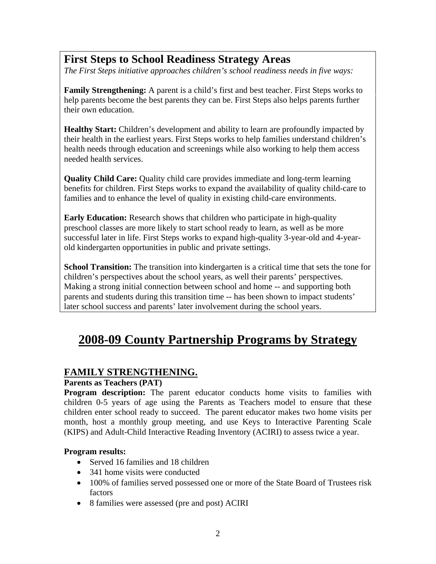### **First Steps to School Readiness Strategy Areas**

*The First Steps initiative approaches children's school readiness needs in five ways:* 

**Family Strengthening:** A parent is a child's first and best teacher. First Steps works to help parents become the best parents they can be. First Steps also helps parents further their own education.

**Healthy Start:** Children's development and ability to learn are profoundly impacted by their health in the earliest years. First Steps works to help families understand children's health needs through education and screenings while also working to help them access needed health services.

**Quality Child Care:** Quality child care provides immediate and long-term learning benefits for children. First Steps works to expand the availability of quality child-care to families and to enhance the level of quality in existing child-care environments.

**Early Education:** Research shows that children who participate in high-quality preschool classes are more likely to start school ready to learn, as well as be more successful later in life. First Steps works to expand high-quality 3-year-old and 4-yearold kindergarten opportunities in public and private settings.

**School Transition:** The transition into kindergarten is a critical time that sets the tone for children's perspectives about the school years, as well their parents' perspectives. Making a strong initial connection between school and home -- and supporting both parents and students during this transition time -- has been shown to impact students' later school success and parents' later involvement during the school years.

# **2008-09 County Partnership Programs by Strategy**

#### **FAMILY STRENGTHENING.**

#### **Parents as Teachers (PAT)**

**Program description:** The parent educator conducts home visits to families with children 0-5 years of age using the Parents as Teachers model to ensure that these children enter school ready to succeed. The parent educator makes two home visits per month, host a monthly group meeting, and use Keys to Interactive Parenting Scale (KIPS) and Adult-Child Interactive Reading Inventory (ACIRI) to assess twice a year.

#### **Program results:**

- Served 16 families and 18 children
- 341 home visits were conducted
- 100% of families served possessed one or more of the State Board of Trustees risk factors
- 8 families were assessed (pre and post) ACIRI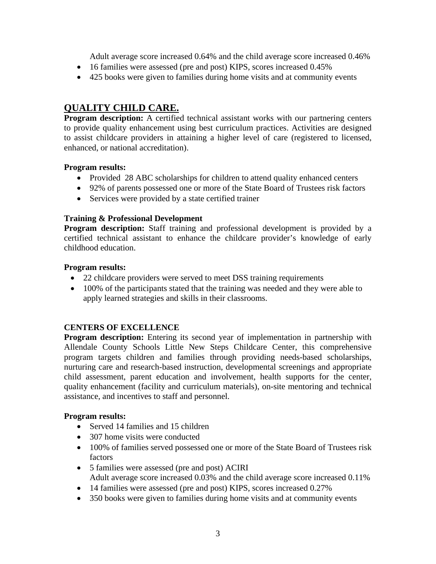Adult average score increased 0.64% and the child average score increased 0.46%

- 16 families were assessed (pre and post) KIPS, scores increased 0.45%
- 425 books were given to families during home visits and at community events

#### **QUALITY CHILD CARE.**

**Program description:** A certified technical assistant works with our partnering centers to provide quality enhancement using best curriculum practices. Activities are designed to assist childcare providers in attaining a higher level of care (registered to licensed, enhanced, or national accreditation).

#### **Program results:**

- Provided 28 ABC scholarships for children to attend quality enhanced centers
- 92% of parents possessed one or more of the State Board of Trustees risk factors
- Services were provided by a state certified trainer

#### **Training & Professional Development**

**Program description:** Staff training and professional development is provided by a certified technical assistant to enhance the childcare provider's knowledge of early childhood education.

#### **Program results:**

- 22 childcare providers were served to meet DSS training requirements
- 100% of the participants stated that the training was needed and they were able to apply learned strategies and skills in their classrooms.

#### **CENTERS OF EXCELLENCE**

**Program description:** Entering its second year of implementation in partnership with Allendale County Schools Little New Steps Childcare Center, this comprehensive program targets children and families through providing needs-based scholarships, nurturing care and research-based instruction, developmental screenings and appropriate child assessment, parent education and involvement, health supports for the center, quality enhancement (facility and curriculum materials), on-site mentoring and technical assistance, and incentives to staff and personnel.

#### **Program results:**

- Served 14 families and 15 children
- 307 home visits were conducted
- 100% of families served possessed one or more of the State Board of Trustees risk factors
- 5 families were assessed (pre and post) ACIRI Adult average score increased 0.03% and the child average score increased 0.11%
- 14 families were assessed (pre and post) KIPS, scores increased 0.27%
- 350 books were given to families during home visits and at community events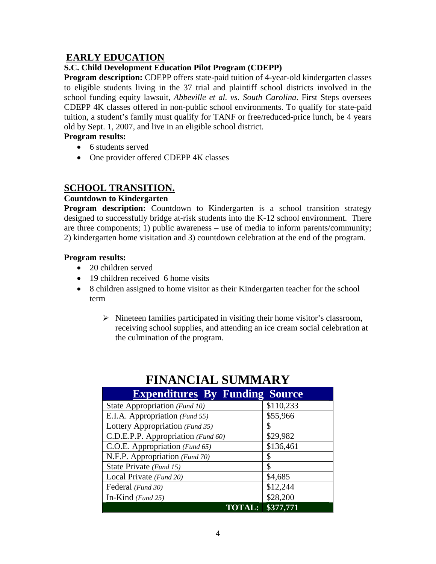#### **EARLY EDUCATION**

#### **S.C. Child Development Education Pilot Program (CDEPP)**

**Program description:** CDEPP offers state-paid tuition of 4-year-old kindergarten classes to eligible students living in the 37 trial and plaintiff school districts involved in the school funding equity lawsuit, *Abbeville et al. vs. South Carolina*. First Steps oversees CDEPP 4K classes offered in non-public school environments. To qualify for state-paid tuition, a student's family must qualify for TANF or free/reduced-price lunch, be 4 years old by Sept. 1, 2007, and live in an eligible school district.

#### **Program results:**

- 6 students served
- One provider offered CDEPP 4K classes

#### **SCHOOL TRANSITION.**

#### **Countdown to Kindergarten**

**Program description:** Countdown to Kindergarten is a school transition strategy designed to successfully bridge at-risk students into the K-12 school environment. There are three components; 1) public awareness – use of media to inform parents/community; 2) kindergarten home visitation and 3) countdown celebration at the end of the program.

#### **Program results:**

- 20 children served
- 19 children received 6 home visits
- 8 children assigned to home visitor as their Kindergarten teacher for the school term
	- $\triangleright$  Nineteen families participated in visiting their home visitor's classroom, receiving school supplies, and attending an ice cream social celebration at the culmination of the program.

| <b>Expenditures By Funding Source</b> |           |  |
|---------------------------------------|-----------|--|
| State Appropriation (Fund 10)         | \$110,233 |  |
| E.I.A. Appropriation (Fund 55)        | \$55,966  |  |
| Lottery Appropriation (Fund 35)       | \$        |  |
| C.D.E.P.P. Appropriation (Fund 60)    | \$29,982  |  |
| C.O.E. Appropriation (Fund 65)        | \$136,461 |  |
| N.F.P. Appropriation (Fund 70)        | \$        |  |
| State Private (Fund 15)               | \$        |  |
| Local Private (Fund 20)               | \$4,685   |  |
| Federal (Fund 30)                     | \$12,244  |  |
| In-Kind $(Fund 25)$                   | \$28,200  |  |
| `AL:                                  | \$377,771 |  |

## **FINANCIAL SUMMARY**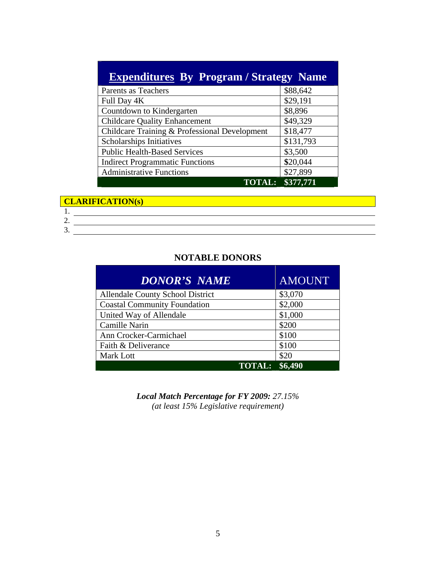| <b>Expenditures By Program / Strategy Name</b> |           |  |
|------------------------------------------------|-----------|--|
| Parents as Teachers                            | \$88,642  |  |
| Full Day 4K                                    | \$29,191  |  |
| Countdown to Kindergarten                      | \$8,896   |  |
| <b>Childcare Quality Enhancement</b>           | \$49,329  |  |
| Childcare Training & Professional Development  | \$18,477  |  |
| Scholarships Initiatives                       | \$131,793 |  |
| <b>Public Health-Based Services</b>            | \$3,500   |  |
| <b>Indirect Programmatic Functions</b>         | \$20,044  |  |
| <b>Administrative Functions</b>                | \$27,899  |  |
| <b>TOTAL:</b>                                  | \$377,771 |  |

#### **CLARIFICATION(s)**

3.

#### **NOTABLE DONORS**

| <b>DONOR'S NAME</b>                     | <b>AMOUNT</b> |
|-----------------------------------------|---------------|
| <b>Allendale County School District</b> | \$3,070       |
| <b>Coastal Community Foundation</b>     | \$2,000       |
| United Way of Allendale                 | \$1,000       |
| Camille Narin                           | \$200         |
| Ann Crocker-Carmichael                  | \$100         |
| Faith & Deliverance                     | \$100         |
| <b>Mark Lott</b>                        | \$20          |
| <b>TOTAL:</b>                           | \$6.490       |

*Local Match Percentage for FY 2009: 27.15% (at least 15% Legislative requirement)*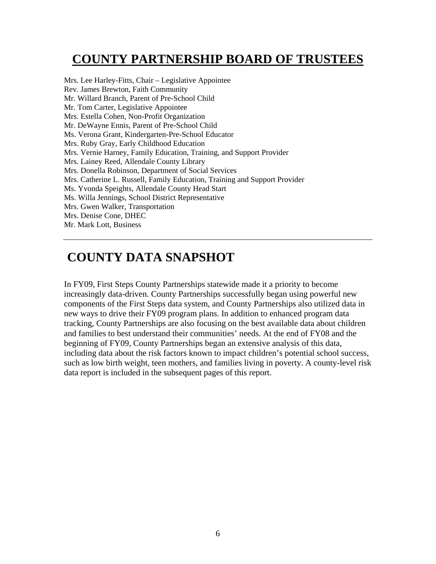# **COUNTY PARTNERSHIP BOARD OF TRUSTEES**

Mrs. Lee Harley-Fitts, Chair – Legislative Appointee Rev. James Brewton, Faith Community Mr. Willard Branch, Parent of Pre-School Child Mr. Tom Carter, Legislative Appointee Mrs. Estella Cohen, Non-Profit Organization Mr. DeWayne Ennis, Parent of Pre-School Child Ms. Verona Grant, Kindergarten-Pre-School Educator Mrs. Ruby Gray, Early Childhood Education Mrs. Vernie Harney, Family Education, Training, and Support Provider Mrs. Lainey Reed, Allendale County Library Mrs. Donella Robinson, Department of Social Services Mrs. Catherine L. Russell, Family Education, Training and Support Provider Ms. Yvonda Speights, Allendale County Head Start Ms. Willa Jennings, School District Representative Mrs. Gwen Walker, Transportation Mrs. Denise Cone, DHEC Mr. Mark Lott, Business

# **COUNTY DATA SNAPSHOT**

In FY09, First Steps County Partnerships statewide made it a priority to become increasingly data-driven. County Partnerships successfully began using powerful new components of the First Steps data system, and County Partnerships also utilized data in new ways to drive their FY09 program plans. In addition to enhanced program data tracking, County Partnerships are also focusing on the best available data about children and families to best understand their communities' needs. At the end of FY08 and the beginning of FY09, County Partnerships began an extensive analysis of this data, including data about the risk factors known to impact children's potential school success, such as low birth weight, teen mothers, and families living in poverty. A county-level risk data report is included in the subsequent pages of this report.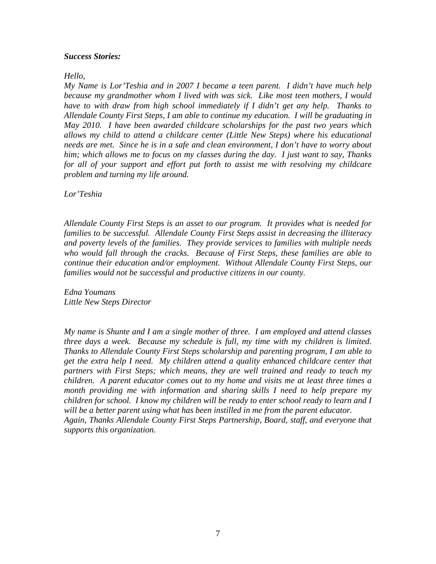#### *Success Stories:*

*Hello,* 

*My Name is Lor'Teshia and in 2007 I became a teen parent. I didn't have much help because my grandmother whom I lived with was sick. Like most teen mothers, I would have to with draw from high school immediately if I didn't get any help. Thanks to Allendale County First Steps, I am able to continue my education. I will be graduating in May 2010. I have been awarded childcare scholarships for the past two years which allows my child to attend a childcare center (Little New Steps) where his educational needs are met. Since he is in a safe and clean environment, I don't have to worry about him; which allows me to focus on my classes during the day. I just want to say, Thanks for all of your support and effort put forth to assist me with resolving my childcare problem and turning my life around.* 

*Lor'Teshia* 

*Allendale County First Steps is an asset to our program. It provides what is needed for families to be successful. Allendale County First Steps assist in decreasing the illiteracy and poverty levels of the families. They provide services to families with multiple needs who would fall through the cracks. Because of First Steps, these families are able to continue their education and/or employment. Without Allendale County First Steps, our families would not be successful and productive citizens in our county.* 

*Edna Youmans Little New Steps Director* 

*My name is Shunte and I am a single mother of three. I am employed and attend classes three days a week. Because my schedule is full, my time with my children is limited. Thanks to Allendale County First Steps scholarship and parenting program, I am able to get the extra help I need. My children attend a quality enhanced childcare center that partners with First Steps; which means, they are well trained and ready to teach my children. A parent educator comes out to my home and visits me at least three times a month providing me with information and sharing skills I need to help prepare my children for school. I know my children will be ready to enter school ready to learn and I will be a better parent using what has been instilled in me from the parent educator. Again, Thanks Allendale County First Steps Partnership, Board, staff, and everyone that supports this organization.*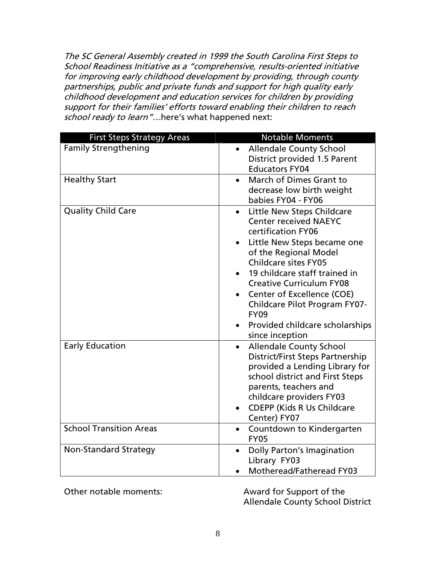The SC General Assembly created in 1999 the South Carolina First Steps to School Readiness Initiative as a "comprehensive, results-oriented initiative for improving early childhood development by providing, through county partnerships, public and private funds and support for high quality early childhood development and education services for children by providing support for their families' efforts toward enabling their children to reach school ready to learn"...here's what happened next:

| <b>First Steps Strategy Areas</b> | <b>Notable Moments</b>                                            |
|-----------------------------------|-------------------------------------------------------------------|
| <b>Family Strengthening</b>       | <b>Allendale County School</b><br>$\bullet$                       |
|                                   | District provided 1.5 Parent                                      |
|                                   | <b>Educators FY04</b>                                             |
| <b>Healthy Start</b>              | March of Dimes Grant to<br>$\bullet$                              |
|                                   | decrease low birth weight                                         |
|                                   | babies FY04 - FY06                                                |
| <b>Quality Child Care</b>         | Little New Steps Childcare<br>$\bullet$                           |
|                                   | <b>Center received NAEYC</b><br>certification FY06                |
|                                   | Little New Steps became one                                       |
|                                   | of the Regional Model                                             |
|                                   | <b>Childcare sites FY05</b>                                       |
|                                   | 19 childcare staff trained in                                     |
|                                   | <b>Creative Curriculum FY08</b>                                   |
|                                   | Center of Excellence (COE)                                        |
|                                   | <b>Childcare Pilot Program FY07-</b>                              |
|                                   | <b>FY09</b>                                                       |
|                                   | Provided childcare scholarships                                   |
|                                   | since inception                                                   |
| <b>Early Education</b>            | <b>Allendale County School</b><br>$\bullet$                       |
|                                   | <b>District/First Steps Partnership</b>                           |
|                                   | provided a Lending Library for<br>school district and First Steps |
|                                   | parents, teachers and                                             |
|                                   | childcare providers FY03                                          |
|                                   | <b>CDEPP (Kids R Us Childcare</b><br>$\bullet$                    |
|                                   | Center) FY07                                                      |
| <b>School Transition Areas</b>    | Countdown to Kindergarten<br>$\bullet$                            |
|                                   | <b>FY05</b>                                                       |
| <b>Non-Standard Strategy</b>      | <b>Dolly Parton's Imagination</b><br>$\bullet$                    |
|                                   | Library FY03                                                      |
|                                   | Motheread/Fatheread FY03                                          |

Other notable moments: Award for Support of the

Allendale County School District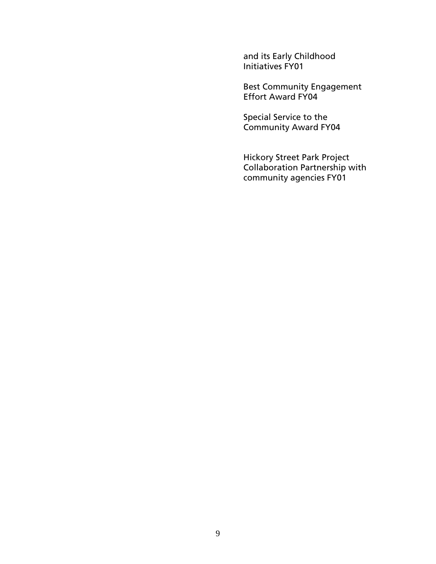and its Early Childhood Initiatives FY01

Best Community Engagement Effort Award FY04

Special Service to the Community Award FY04

Hickory Street Park Project Collaboration Partnership with community agencies FY01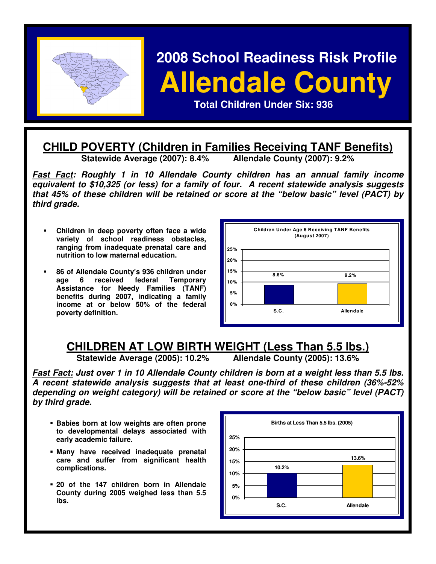

# **2008 School Readiness Risk Profile Allendale County PERSONAL CHILDREN CHILDREN CHILDREN CHILDREN CHILDREN CHILDREN CHILDREN CHILDREN CHILDREN CHILDREN CHILDREN CHI<br>EXPERIMENT CHILDREN CHILDREN CHILDREN CHILDREN CHILDREN CHILDREN CHILDREN CHILDREN CHILDREN CHILDREN CHILDREN**

# **CHILD POVERTY (Children in Families Receiving TANF Benefits)**

**Statewide Average (2007): 8.4% Allendale County (2007): 9.2%** 

**Fast Fact: Roughly 1 in 10 Allendale County children has an annual family income equivalent to \$10,325 (or less) for a family of four. A recent statewide analysis suggests that 45% of these children will be retained or score at the "below basic" level (PACT) by third grade.** 

- **Children in deep poverty often face a wide variety of school readiness obstacles, ranging from inadequate prenatal care and nutrition to low maternal education.**
- **86 of Allendale County's 936 children under age 6 received federal Temporary Assistance for Needy Families (TANF) benefits during 2007, indicating a family income at or below 50% of the federal poverty definition.**



# **CHILDREN AT LOW BIRTH WEIGHT (Less Than 5.5 lbs.)**<br>Statewide Average (2005): 10.2% Allendale County (2005): 13.6%

**Statewide Average (2005): 10.2%** 

**Fast Fact: Just over 1 in 10 Allendale County children is born at a weight less than 5.5 lbs. A recent statewide analysis suggests that at least one-third of these children (36%-52% depending on weight category) will be retained or score at the "below basic" level (PACT) by third grade.** 

- **Babies born at low weights are often prone to developmental delays associated with early academic failure.**
- **Many have received inadequate prenatal care and suffer from significant health complications.**
- **20 of the 147 children born in Allendale County during 2005 weighed less than 5.5 lbs.**